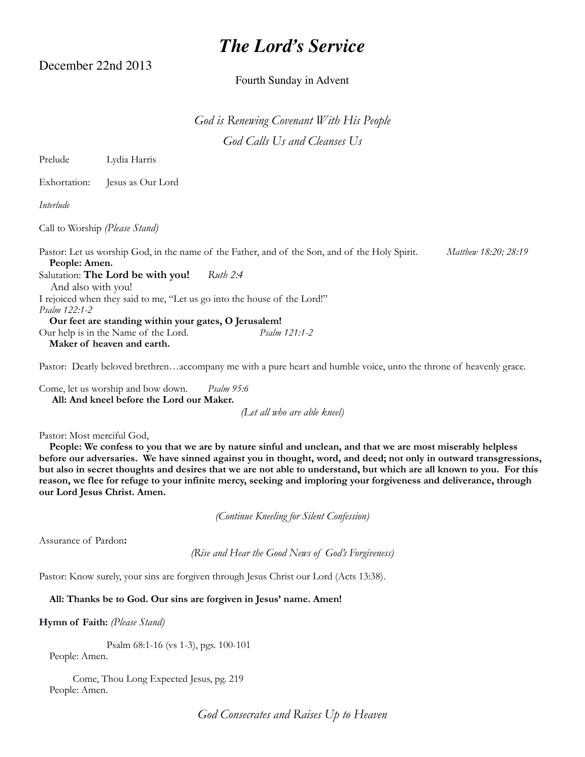# *The Lord's Service*

December 22nd 2013

## Fourth Sunday in Advent

*God is Renewing Covenant With His People God Calls Us and Cleanses Us*

Prelude Lydia Harris

Exhortation: Jesus as Our Lord

*Interlude*

Call to Worship *(Please Stand)*

Pastor: Let us worship God, in the name of the Father, and of the Son, and of the Holy Spirit. *Matthew 18:20; 28:19*  **People: Amen.** Salutation: **The Lord be with you!** *Ruth 2:4* And also with you! I rejoiced when they said to me, "Let us go into the house of the Lord!"

*Psalm 122:1-2* **Our feet are standing within your gates, O Jerusalem!** Our help is in the Name of the Lord. *Psalm 121:1-2*

**Maker of heaven and earth.**

Pastor: Dearly beloved brethren…accompany me with a pure heart and humble voice, unto the throne of heavenly grace.

Come, let us worship and bow down. *Psalm 95:6* **All: And kneel before the Lord our Maker.** 

*(Let all who are able kneel)*

Pastor: Most merciful God,

 **People: We confess to you that we are by nature sinful and unclean, and that we are most miserably helpless before our adversaries. We have sinned against you in thought, word, and deed; not only in outward transgressions, but also in secret thoughts and desires that we are not able to understand, but which are all known to you. For this reason, we flee for refuge to your infinite mercy, seeking and imploring your forgiveness and deliverance, through our Lord Jesus Christ. Amen.**

*(Continue Kneeling for Silent Confession)*

Assurance of Pardon**:** 

*(Rise and Hear the Good News of God's Forgiveness)*

Pastor: Know surely, your sins are forgiven through Jesus Christ our Lord (Acts 13:38).

## **All: Thanks be to God. Our sins are forgiven in Jesus' name. Amen!**

**Hymn of Faith:** *(Please Stand)*

Psalm 68:1-16 (vs 1-3), pgs. 100-101

People: Amen.

Come, Thou Long Expected Jesus, pg. 219 People: Amen.

*God Consecrates and Raises Up to Heaven*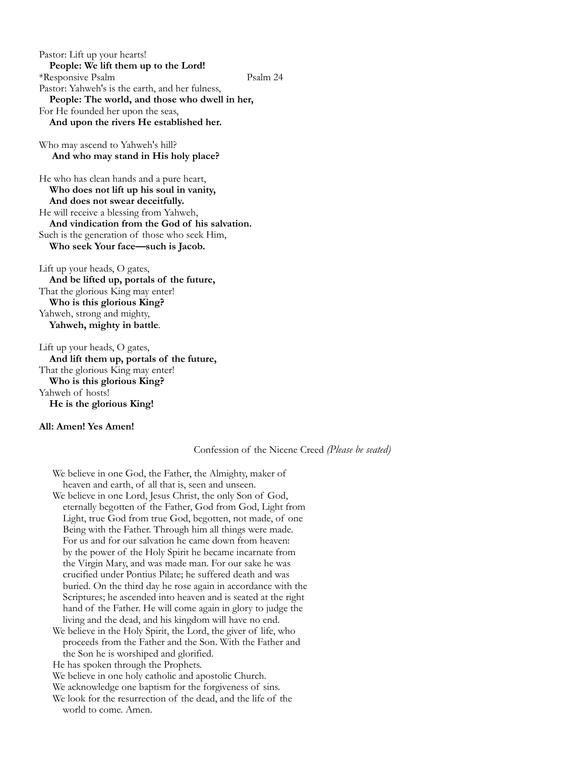Pastor: Lift up your hearts! **People: We lift them up to the Lord!** \*Responsive Psalm Psalm 24 Pastor: Yahweh's is the earth, and her fulness,  **People: The world, and those who dwell in her,** For He founded her upon the seas, **And upon the rivers He established her.**

Who may ascend to Yahweh's hill? **And who may stand in His holy place?**

He who has clean hands and a pure heart, **Who does not lift up his soul in vanity, And does not swear deceitfully.** He will receive a blessing from Yahweh, **And vindication from the God of his salvation.** Such is the generation of those who seek Him, **Who seek Your face—such is Jacob.**

Lift up your heads, O gates, **And be lifted up, portals of the future,** That the glorious King may enter!  **Who is this glorious King?** Yahweh, strong and mighty, **Yahweh, mighty in battle**.

Lift up your heads, O gates,  **And lift them up, portals of the future,** That the glorious King may enter!  **Who is this glorious King?** Yahweh of hosts! **He is the glorious King!**

#### **All: Amen! Yes Amen!**

#### Confession of the Nicene Creed *(Please be seated)*

We believe in one God, the Father, the Almighty, maker of heaven and earth, of all that is, seen and unseen. We believe in one Lord, Jesus Christ, the only Son of God, eternally begotten of the Father, God from God, Light from Light, true God from true God, begotten, not made, of one Being with the Father. Through him all things were made. For us and for our salvation he came down from heaven: by the power of the Holy Spirit he became incarnate from the Virgin Mary, and was made man. For our sake he was crucified under Pontius Pilate; he suffered death and was buried. On the third day he rose again in accordance with the Scriptures; he ascended into heaven and is seated at the right hand of the Father. He will come again in glory to judge the living and the dead, and his kingdom will have no end. We believe in the Holy Spirit, the Lord, the giver of life, who

 proceeds from the Father and the Son. With the Father and the Son he is worshiped and glorified.

He has spoken through the Prophets.

We believe in one holy catholic and apostolic Church.

We acknowledge one baptism for the forgiveness of sins.

We look for the resurrection of the dead, and the life of the world to come. Amen.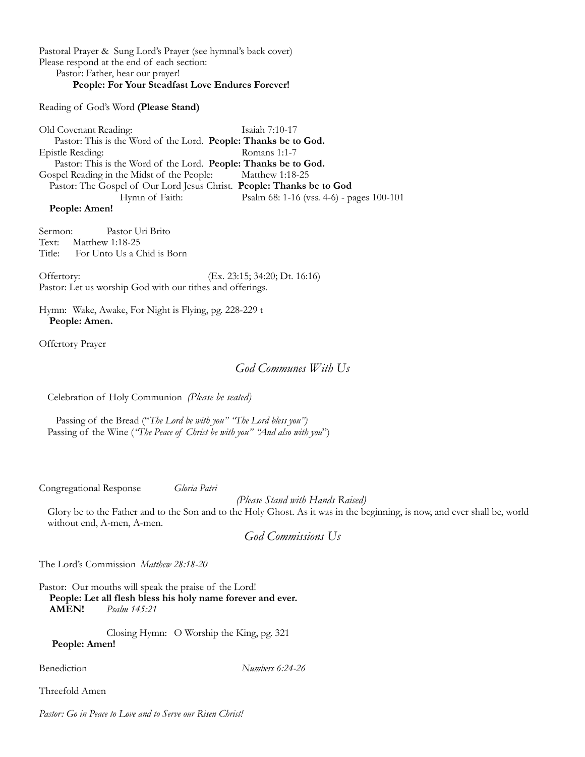Pastoral Prayer & Sung Lord's Prayer (see hymnal's back cover) Please respond at the end of each section: Pastor: Father, hear our prayer! **People: For Your Steadfast Love Endures Forever!**

Reading of God's Word **(Please Stand)**

Old Covenant Reading: Isaiah 7:10-17 Pastor: This is the Word of the Lord. **People: Thanks be to God.** Epistle Reading: **Example 3:1-7** Romans 1:1-7 Pastor: This is the Word of the Lord. **People: Thanks be to God.** Gospel Reading in the Midst of the People: Matthew 1:18-25 Pastor: The Gospel of Our Lord Jesus Christ. **People: Thanks be to God** Hymn of Faith: Psalm 68: 1-16 (vss. 4-6) - pages 100-101

 **People: Amen!**

Sermon: Pastor Uri Brito Text: Matthew 1:18-25 Title: For Unto Us a Chid is Born

Offertory: (Ex. 23:15; 34:20; Dt. 16:16) Pastor: Let us worship God with our tithes and offerings.

Hymn: Wake, Awake, For Night is Flying, pg. 228-229 t **People: Amen.**

Offertory Prayer

# *God Communes With Us*

Celebration of Holy Communion *(Please be seated)*

Passing of the Bread ("*The Lord be with you" "The Lord bless you")* Passing of the Wine (*"The Peace of Christ be with you" "And also with you*")

Congregational Response *Gloria Patri* 

*(Please Stand with Hands Raised)*

Glory be to the Father and to the Son and to the Holy Ghost. As it was in the beginning, is now, and ever shall be, world without end, A-men, A-men.

*God Commissions Us*

The Lord's Commission *Matthew 28:18-20*

Pastor: Our mouths will speak the praise of the Lord!  **People: Let all flesh bless his holy name forever and ever.**<br>AMEN! *Psalm 145:21* **Psalm 145:21** 

Closing Hymn: O Worship the King, pg. 321  **People: Amen!**

Benediction *Numbers 6:24-26*

Threefold Amen

*Pastor: Go in Peace to Love and to Serve our Risen Christ!*